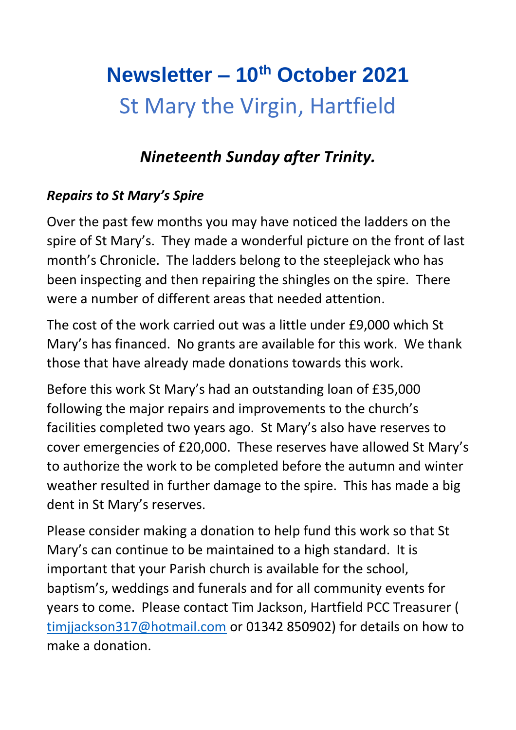# **Newsletter – 10th October 2021** St Mary the Virgin, Hartfield

### *Nineteenth Sunday after Trinity.*

### *Repairs to St Mary's Spire*

Over the past few months you may have noticed the ladders on the spire of St Mary's. They made a wonderful picture on the front of last month's Chronicle. The ladders belong to the steeplejack who has been inspecting and then repairing the shingles on the spire. There were a number of different areas that needed attention.

The cost of the work carried out was a little under £9,000 which St Mary's has financed. No grants are available for this work. We thank those that have already made donations towards this work.

Before this work St Mary's had an outstanding loan of £35,000 following the major repairs and improvements to the church's facilities completed two years ago. St Mary's also have reserves to cover emergencies of £20,000. These reserves have allowed St Mary's to authorize the work to be completed before the autumn and winter weather resulted in further damage to the spire. This has made a big dent in St Mary's reserves.

Please consider making a donation to help fund this work so that St Mary's can continue to be maintained to a high standard. It is important that your Parish church is available for the school, baptism's, weddings and funerals and for all community events for years to come. Please contact Tim Jackson, Hartfield PCC Treasurer ( [timjjackson317@hotmail.com](mailto:timjjackson317@hotmail.com) or 01342 850902) for details on how to make a donation.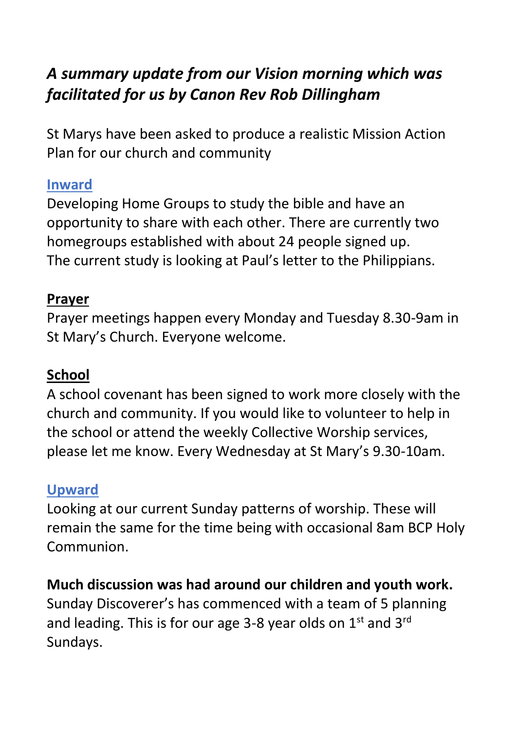# *A summary update from our Vision morning which was facilitated for us by Canon Rev Rob Dillingham*

St Marys have been asked to produce a realistic Mission Action Plan for our church and community

### **Inward**

Developing Home Groups to study the bible and have an opportunity to share with each other. There are currently two homegroups established with about 24 people signed up. The current study is looking at Paul's letter to the Philippians.

### **Prayer**

Prayer meetings happen every Monday and Tuesday 8.30-9am in St Mary's Church. Everyone welcome.

### **School**

A school covenant has been signed to work more closely with the church and community. If you would like to volunteer to help in the school or attend the weekly Collective Worship services, please let me know. Every Wednesday at St Mary's 9.30-10am.

### **Upward**

Looking at our current Sunday patterns of worship. These will remain the same for the time being with occasional 8am BCP Holy Communion.

### **Much discussion was had around our children and youth work.**

Sunday Discoverer's has commenced with a team of 5 planning and leading. This is for our age 3-8 year olds on  $1<sup>st</sup>$  and  $3<sup>rd</sup>$ Sundays.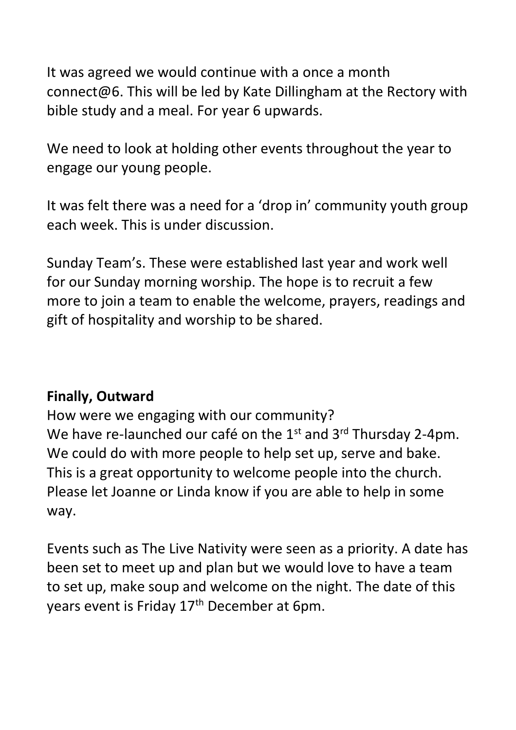It was agreed we would continue with a once a month connect@6. This will be led by Kate Dillingham at the Rectory with bible study and a meal. For year 6 upwards.

We need to look at holding other events throughout the year to engage our young people.

It was felt there was a need for a 'drop in' community youth group each week. This is under discussion.

Sunday Team's. These were established last year and work well for our Sunday morning worship. The hope is to recruit a few more to join a team to enable the welcome, prayers, readings and gift of hospitality and worship to be shared.

### **Finally, Outward**

How were we engaging with our community? We have re-launched our café on the 1<sup>st</sup> and 3<sup>rd</sup> Thursday 2-4pm. We could do with more people to help set up, serve and bake. This is a great opportunity to welcome people into the church. Please let Joanne or Linda know if you are able to help in some way.

Events such as The Live Nativity were seen as a priority. A date has been set to meet up and plan but we would love to have a team to set up, make soup and welcome on the night. The date of this years event is Friday 17<sup>th</sup> December at 6pm.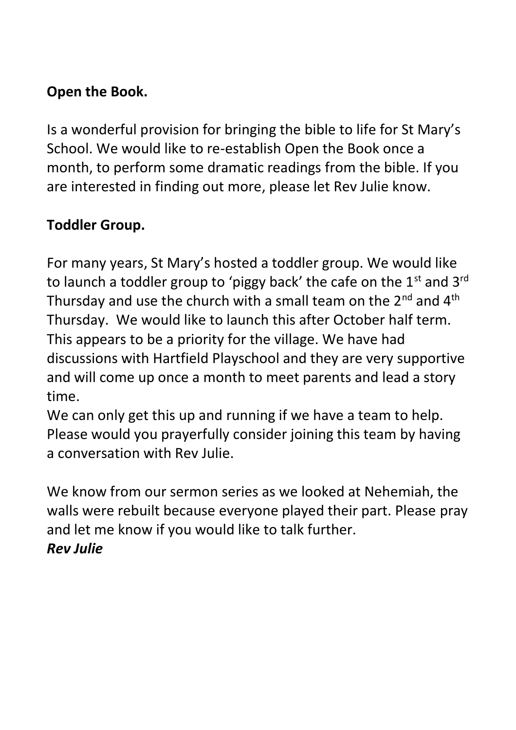### **Open the Book.**

Is a wonderful provision for bringing the bible to life for St Mary's School. We would like to re-establish Open the Book once a month, to perform some dramatic readings from the bible. If you are interested in finding out more, please let Rev Julie know.

### **Toddler Group.**

For many years, St Mary's hosted a toddler group. We would like to launch a toddler group to 'piggy back' the cafe on the  $1<sup>st</sup>$  and  $3<sup>rd</sup>$ Thursday and use the church with a small team on the  $2^{nd}$  and  $4^{th}$ Thursday. We would like to launch this after October half term. This appears to be a priority for the village. We have had discussions with Hartfield Playschool and they are very supportive and will come up once a month to meet parents and lead a story time.

We can only get this up and running if we have a team to help. Please would you prayerfully consider joining this team by having a conversation with Rev Julie.

We know from our sermon series as we looked at Nehemiah, the walls were rebuilt because everyone played their part. Please pray and let me know if you would like to talk further. *Rev Julie*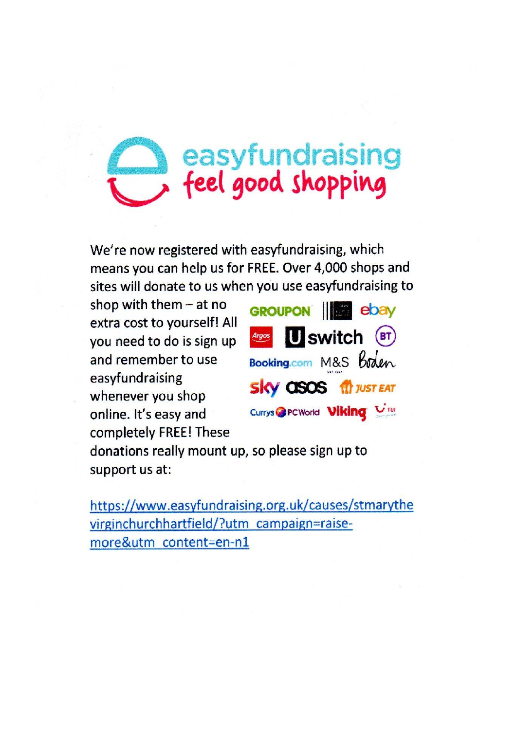# easyfundraising<br>feel good shopping

We're now registered with easyfundraising, which means you can help us for FREE. Over 4,000 shops and sites will donate to us when you use easyfundraising to

shop with them  $-$  at no extra cost to yourself! All you need to do is sign up and remember to use easyfundraising whenever you shop online. It's easy and completely FREE! These



donations really mount up, so please sign up to support us at:

https://www.easyfundraising.org.uk/causes/stmarythe virginchurchhartfield/?utm\_campaign=raisemore&utm\_content=en-n1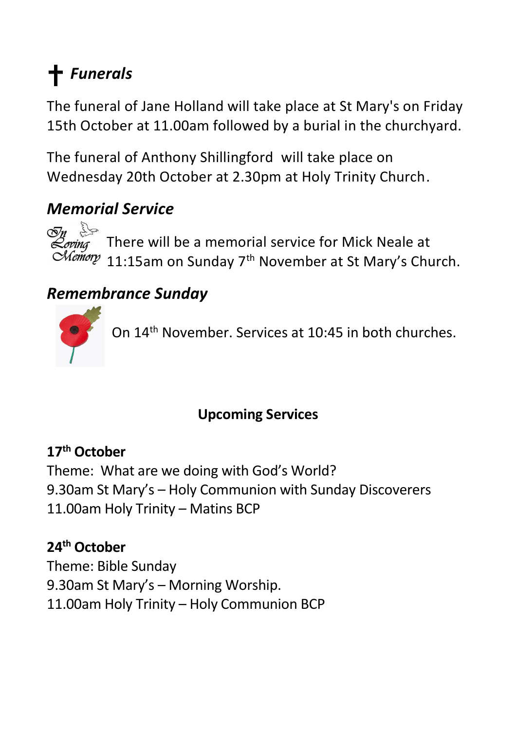# *Funerals*

The funeral of Jane Holland will take place at St Mary's on Friday 15th October at 11.00am followed by a burial in the churchyard.

The funeral of Anthony Shillingford will take place on Wednesday 20th October at 2.30pm at Holy Trinity Church.

### *Memorial Service*

 $\overline{\mathcal{O}}$ n  $\frac{1}{2}$ Loving

There will be a memorial service for Mick Neale at Chemory 11:15am on Sunday 7<sup>th</sup> November at St Mary's Church.

# *Remembrance Sunday*



On 14<sup>th</sup> November. Services at 10:45 in both churches.

### **Upcoming Services**

### **17th October**

Theme: What are we doing with God's World? 9.30am St Mary's – Holy Communion with Sunday Discoverers 11.00am Holy Trinity – Matins BCP

# **24th October**

Theme: Bible Sunday 9.30am St Mary's – Morning Worship. 11.00am Holy Trinity – Holy Communion BCP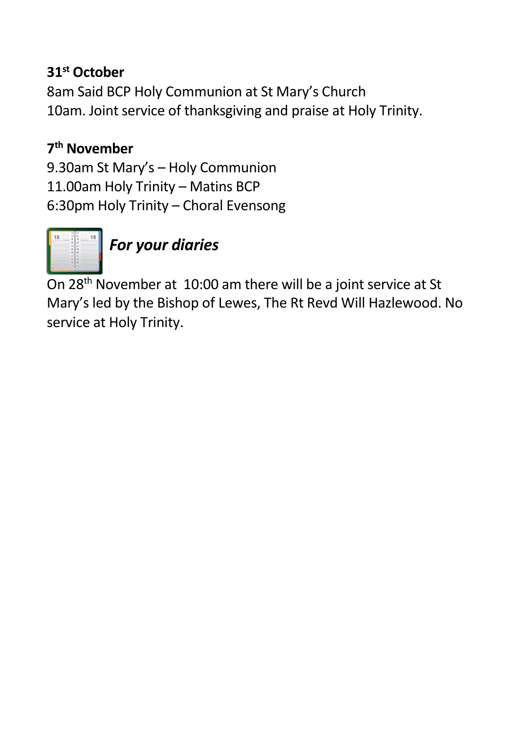### **31st October**

8am Said BCP Holy Communion at St Mary's Church 10am. Joint service of thanksgiving and praise at Holy Trinity.

### **7 th November**

9.30am St Mary's – Holy Communion 11.00am Holy Trinity – Matins BCP 6:30pm Holy Trinity – Choral Evensong



*For your diaries*

On 28th November at 10:00 am there will be a joint service at St Mary's led by the Bishop of Lewes, The Rt Revd Will Hazlewood. No service at Holy Trinity.